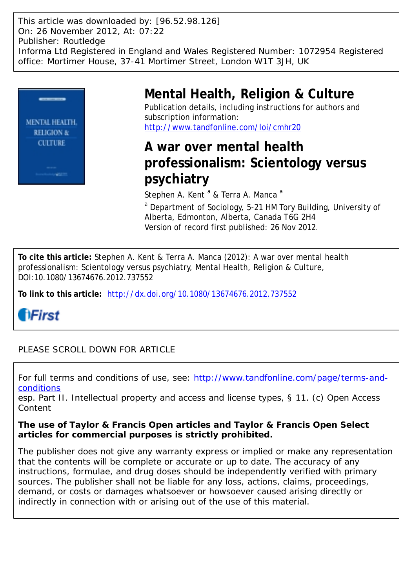This article was downloaded by: [96.52.98.126] On: 26 November 2012, At: 07:22 Publisher: Routledge Informa Ltd Registered in England and Wales Registered Number: 1072954 Registered office: Mortimer House, 37-41 Mortimer Street, London W1T 3JH, UK



# **Mental Health, Religion & Culture**

Publication details, including instructions for authors and subscription information: <http://www.tandfonline.com/loi/cmhr20>

# **A war over mental health professionalism: Scientology versus psychiatry**

Stephen A. Kent<sup>a</sup> & Terra A. Manca<sup>a</sup>

<sup>a</sup> Department of Sociology, 5-21 HM Tory Building, University of Alberta, Edmonton, Alberta, Canada T6G 2H4 Version of record first published: 26 Nov 2012.

**To cite this article:** Stephen A. Kent & Terra A. Manca (2012): A war over mental health professionalism: Scientology versus psychiatry, Mental Health, Religion & Culture, DOI:10.1080/13674676.2012.737552

**To link to this article:** <http://dx.doi.org/10.1080/13674676.2012.737552>



PLEASE SCROLL DOWN FOR ARTICLE

For full terms and conditions of use, see: [http://www.tandfonline.com/page/terms-and](http://www.tandfonline.com/page/terms-and-conditions)[conditions](http://www.tandfonline.com/page/terms-and-conditions)

*esp.* Part II. Intellectual property and access and license types, § 11. (c) Open Access Content

**The use of Taylor & Francis Open articles and Taylor & Francis Open Select articles for commercial purposes is strictly prohibited.**

The publisher does not give any warranty express or implied or make any representation that the contents will be complete or accurate or up to date. The accuracy of any instructions, formulae, and drug doses should be independently verified with primary sources. The publisher shall not be liable for any loss, actions, claims, proceedings, demand, or costs or damages whatsoever or howsoever caused arising directly or indirectly in connection with or arising out of the use of this material.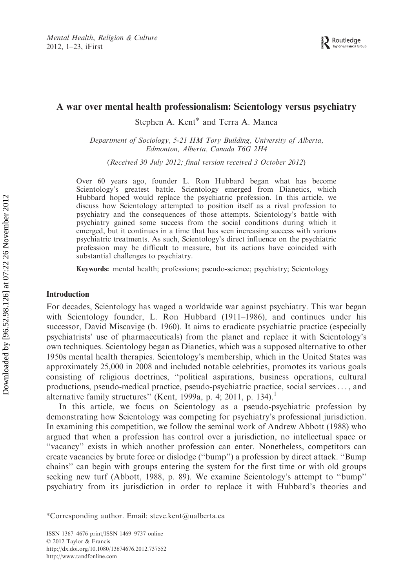# A war over mental health professionalism: Scientology versus psychiatry

Stephen A. Kent\* and Terra A. Manca

Department of Sociology, 5-21 HM Tory Building, University of Alberta, Edmonton, Alberta, Canada T6G 2H4

(Received 30 July 2012; final version received 3 October 2012)

Over 60 years ago, founder L. Ron Hubbard began what has become Scientology's greatest battle. Scientology emerged from Dianetics, which Hubbard hoped would replace the psychiatric profession. In this article, we discuss how Scientology attempted to position itself as a rival profession to psychiatry and the consequences of those attempts. Scientology's battle with psychiatry gained some success from the social conditions during which it emerged, but it continues in a time that has seen increasing success with various psychiatric treatments. As such, Scientology's direct influence on the psychiatric profession may be difficult to measure, but its actions have coincided with substantial challenges to psychiatry.

Keywords: mental health; professions; pseudo-science; psychiatry; Scientology

## Introduction

For decades, Scientology has waged a worldwide war against psychiatry. This war began with Scientology founder, L. Ron Hubbard (1911–1986), and continues under his successor, David Miscavige (b. 1960). It aims to eradicate psychiatric practice (especially psychiatrists' use of pharmaceuticals) from the planet and replace it with Scientology's own techniques. Scientology began as Dianetics, which was a supposed alternative to other 1950s mental health therapies. Scientology's membership, which in the United States was approximately 25,000 in 2008 and included notable celebrities, promotes its various goals consisting of religious doctrines, ''political aspirations, business operations, cultural productions, pseudo-medical practice, pseudo-psychiatric practice, social services... , and alternative family structures" (Kent, 1999a, p. 4; 2011, p. 134).<sup>1</sup>

In this article, we focus on Scientology as a pseudo-psychiatric profession by demonstrating how Scientology was competing for psychiatry's professional jurisdiction. In examining this competition, we follow the seminal work of Andrew Abbott (1988) who argued that when a profession has control over a jurisdiction, no intellectual space or ''vacancy'' exists in which another profession can enter. Nonetheless, competitors can create vacancies by brute force or dislodge (''bump'') a profession by direct attack. ''Bump chains'' can begin with groups entering the system for the first time or with old groups seeking new turf (Abbott, 1988, p. 89). We examine Scientology's attempt to ''bump'' psychiatry from its jurisdiction in order to replace it with Hubbard's theories and

ISSN 1367–4676 print/ISSN 1469–9737 online © 2012 Taylor & Francis http://dx.doi.org/10.1080/13674676.2012.737552 http://www.tandfonline.com

<sup>\*</sup>Corresponding author. Email: steve.kent@ualberta.ca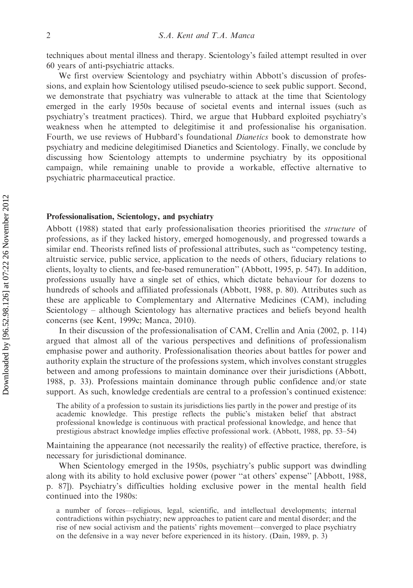techniques about mental illness and therapy. Scientology's failed attempt resulted in over 60 years of anti-psychiatric attacks.

We first overview Scientology and psychiatry within Abbott's discussion of professions, and explain how Scientology utilised pseudo-science to seek public support. Second, we demonstrate that psychiatry was vulnerable to attack at the time that Scientology emerged in the early 1950s because of societal events and internal issues (such as psychiatry's treatment practices). Third, we argue that Hubbard exploited psychiatry's weakness when he attempted to delegitimise it and professionalise his organisation. Fourth, we use reviews of Hubbard's foundational Dianetics book to demonstrate how psychiatry and medicine delegitimised Dianetics and Scientology. Finally, we conclude by discussing how Scientology attempts to undermine psychiatry by its oppositional campaign, while remaining unable to provide a workable, effective alternative to psychiatric pharmaceutical practice.

# Professionalisation, Scientology, and psychiatry

Abbott (1988) stated that early professionalisation theories prioritised the *structure* of professions, as if they lacked history, emerged homogenously, and progressed towards a similar end. Theorists refined lists of professional attributes, such as ''competency testing, altruistic service, public service, application to the needs of others, fiduciary relations to clients, loyalty to clients, and fee-based remuneration'' (Abbott, 1995, p. 547). In addition, professions usually have a single set of ethics, which dictate behaviour for dozens to hundreds of schools and affiliated professionals (Abbott, 1988, p. 80). Attributes such as these are applicable to Complementary and Alternative Medicines (CAM), including Scientology – although Scientology has alternative practices and beliefs beyond health concerns (see Kent, 1999c; Manca, 2010).

In their discussion of the professionalisation of CAM, Crellin and Ania (2002, p. 114) argued that almost all of the various perspectives and definitions of professionalism emphasise power and authority. Professionalisation theories about battles for power and authority explain the structure of the professions system, which involves constant struggles between and among professions to maintain dominance over their jurisdictions (Abbott, 1988, p. 33). Professions maintain dominance through public confidence and/or state support. As such, knowledge credentials are central to a profession's continued existence:

The ability of a profession to sustain its jurisdictions lies partly in the power and prestige of its academic knowledge. This prestige reflects the public's mistaken belief that abstract professional knowledge is continuous with practical professional knowledge, and hence that prestigious abstract knowledge implies effective professional work. (Abbott, 1988, pp. 53–54)

Maintaining the appearance (not necessarily the reality) of effective practice, therefore, is necessary for jurisdictional dominance.

When Scientology emerged in the 1950s, psychiatry's public support was dwindling along with its ability to hold exclusive power (power "at others' expense" [Abbott, 1988, p. 87]). Psychiatry's difficulties holding exclusive power in the mental health field continued into the 1980s:

a number of forces—religious, legal, scientific, and intellectual developments; internal contradictions within psychiatry; new approaches to patient care and mental disorder; and the rise of new social activism and the patients' rights movement—converged to place psychiatry on the defensive in a way never before experienced in its history. (Dain, 1989, p. 3)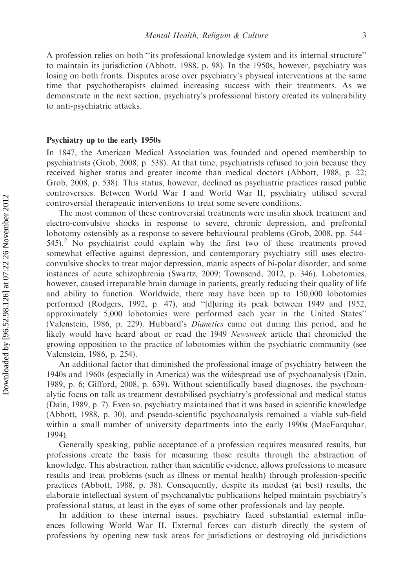A profession relies on both ''its professional knowledge system and its internal structure'' to maintain its jurisdiction (Abbott, 1988, p. 98). In the 1950s, however, psychiatry was losing on both fronts. Disputes arose over psychiatry's physical interventions at the same time that psychotherapists claimed increasing success with their treatments. As we demonstrate in the next section, psychiatry's professional history created its vulnerability to anti-psychiatric attacks.

## Psychiatry up to the early 1950s

In 1847, the American Medical Association was founded and opened membership to psychiatrists (Grob, 2008, p. 538). At that time, psychiatrists refused to join because they received higher status and greater income than medical doctors (Abbott, 1988, p. 22; Grob, 2008, p. 538). This status, however, declined as psychiatric practices raised public controversies. Between World War I and World War II, psychiatry utilised several controversial therapeutic interventions to treat some severe conditions.

The most common of these controversial treatments were insulin shock treatment and electro-convulsive shocks in response to severe, chronic depression, and prefrontal lobotomy ostensibly as a response to severe behavioural problems (Grob, 2008, pp. 544–  $545$ ).<sup>2</sup> No psychiatrist could explain why the first two of these treatments proved somewhat effective against depression, and contemporary psychiatry still uses electroconvulsive shocks to treat major depression, manic aspects of bi-polar disorder, and some instances of acute schizophrenia (Swartz, 2009; Townsend, 2012, p. 346). Lobotomies, however, caused irreparable brain damage in patients, greatly reducing their quality of life and ability to function. Worldwide, there may have been up to 150,000 lobotomies performed (Rodgers, 1992, p. 47), and ''[d]uring its peak between 1949 and 1952, approximately 5,000 lobotomies were performed each year in the United States'' (Valenstein, 1986, p. 229). Hubbard's Dianetics came out during this period, and he likely would have heard about or read the 1949 Newsweek article that chronicled the growing opposition to the practice of lobotomies within the psychiatric community (see Valenstein, 1986, p. 254).

An additional factor that diminished the professional image of psychiatry between the 1940s and 1960s (especially in America) was the widespread use of psychoanalysis (Dain, 1989, p. 6; Gifford, 2008, p. 639). Without scientifically based diagnoses, the psychoanalytic focus on talk as treatment destabilised psychiatry's professional and medical status (Dain, 1989, p. 7). Even so, psychiatry maintained that it was based in scientific knowledge (Abbott, 1988, p. 30), and pseudo-scientific psychoanalysis remained a viable sub-field within a small number of university departments into the early 1990s (MacFarquhar, 1994).

Generally speaking, public acceptance of a profession requires measured results, but professions create the basis for measuring those results through the abstraction of knowledge. This abstraction, rather than scientific evidence, allows professions to measure results and treat problems (such as illness or mental health) through profession-specific practices (Abbott, 1988, p. 38). Consequently, despite its modest (at best) results, the elaborate intellectual system of psychoanalytic publications helped maintain psychiatry's professional status, at least in the eyes of some other professionals and lay people.

In addition to these internal issues, psychiatry faced substantial external influences following World War II. External forces can disturb directly the system of professions by opening new task areas for jurisdictions or destroying old jurisdictions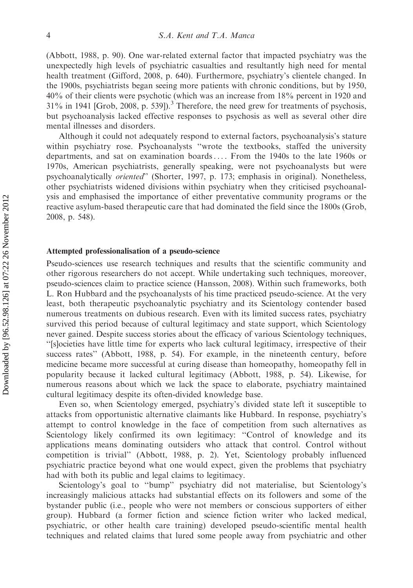(Abbott, 1988, p. 90). One war-related external factor that impacted psychiatry was the unexpectedly high levels of psychiatric casualties and resultantly high need for mental health treatment (Gifford, 2008, p. 640). Furthermore, psychiatry's clientele changed. In the 1900s, psychiatrists began seeing more patients with chronic conditions, but by 1950, 40% of their clients were psychotic (which was an increase from 18% percent in 1920 and  $31\%$  in 1941 [Grob, 2008, p. 539]).<sup>3</sup> Therefore, the need grew for treatments of psychosis, but psychoanalysis lacked effective responses to psychosis as well as several other dire mental illnesses and disorders.

Although it could not adequately respond to external factors, psychoanalysis's stature within psychiatry rose. Psychoanalysts ''wrote the textbooks, staffed the university departments, and sat on examination boards... . From the 1940s to the late 1960s or 1970s, American psychiatrists, generally speaking, were not psychoanalysts but were psychoanalytically oriented'' (Shorter, 1997, p. 173; emphasis in original). Nonetheless, other psychiatrists widened divisions within psychiatry when they criticised psychoanalysis and emphasised the importance of either preventative community programs or the reactive asylum-based therapeutic care that had dominated the field since the 1800s (Grob, 2008, p. 548).

## Attempted professionalisation of a pseudo-science

Pseudo-sciences use research techniques and results that the scientific community and other rigorous researchers do not accept. While undertaking such techniques, moreover, pseudo-sciences claim to practice science (Hansson, 2008). Within such frameworks, both L. Ron Hubbard and the psychoanalysts of his time practiced pseudo-science. At the very least, both therapeutic psychoanalytic psychiatry and its Scientology contender based numerous treatments on dubious research. Even with its limited success rates, psychiatry survived this period because of cultural legitimacy and state support, which Scientology never gained. Despite success stories about the efficacy of various Scientology techniques, ''[s]ocieties have little time for experts who lack cultural legitimacy, irrespective of their success rates'' (Abbott, 1988, p. 54). For example, in the nineteenth century, before medicine became more successful at curing disease than homeopathy, homeopathy fell in popularity because it lacked cultural legitimacy (Abbott, 1988, p. 54). Likewise, for numerous reasons about which we lack the space to elaborate, psychiatry maintained cultural legitimacy despite its often-divided knowledge base.

Even so, when Scientology emerged, psychiatry's divided state left it susceptible to attacks from opportunistic alternative claimants like Hubbard. In response, psychiatry's attempt to control knowledge in the face of competition from such alternatives as Scientology likely confirmed its own legitimacy: ''Control of knowledge and its applications means dominating outsiders who attack that control. Control without competition is trivial'' (Abbott, 1988, p. 2). Yet, Scientology probably influenced psychiatric practice beyond what one would expect, given the problems that psychiatry had with both its public and legal claims to legitimacy.

Scientology's goal to ''bump'' psychiatry did not materialise, but Scientology's increasingly malicious attacks had substantial effects on its followers and some of the bystander public (i.e., people who were not members or conscious supporters of either group). Hubbard (a former fiction and science fiction writer who lacked medical, psychiatric, or other health care training) developed pseudo-scientific mental health techniques and related claims that lured some people away from psychiatric and other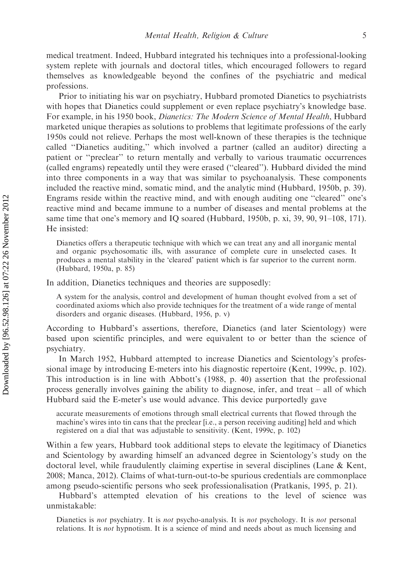medical treatment. Indeed, Hubbard integrated his techniques into a professional-looking system replete with journals and doctoral titles, which encouraged followers to regard themselves as knowledgeable beyond the confines of the psychiatric and medical professions.

Prior to initiating his war on psychiatry, Hubbard promoted Dianetics to psychiatrists with hopes that Dianetics could supplement or even replace psychiatry's knowledge base. For example, in his 1950 book, Dianetics: The Modern Science of Mental Health, Hubbard marketed unique therapies as solutions to problems that legitimate professions of the early 1950s could not relieve. Perhaps the most well-known of these therapies is the technique called ''Dianetics auditing,'' which involved a partner (called an auditor) directing a patient or ''preclear'' to return mentally and verbally to various traumatic occurrences (called engrams) repeatedly until they were erased (''cleared''). Hubbard divided the mind into three components in a way that was similar to psychoanalysis. These components included the reactive mind, somatic mind, and the analytic mind (Hubbard, 1950b, p. 39). Engrams reside within the reactive mind, and with enough auditing one ''cleared'' one's reactive mind and became immune to a number of diseases and mental problems at the same time that one's memory and IQ soared (Hubbard, 1950b, p. xi, 39, 90, 91–108, 171). He insisted:

Dianetics offers a therapeutic technique with which we can treat any and all inorganic mental and organic psychosomatic ills, with assurance of complete cure in unselected cases. It produces a mental stability in the 'cleared' patient which is far superior to the current norm. (Hubbard, 1950a, p. 85)

In addition, Dianetics techniques and theories are supposedly:

A system for the analysis, control and development of human thought evolved from a set of coordinated axioms which also provide techniques for the treatment of a wide range of mental disorders and organic diseases. (Hubbard, 1956, p. v)

According to Hubbard's assertions, therefore, Dianetics (and later Scientology) were based upon scientific principles, and were equivalent to or better than the science of psychiatry.

In March 1952, Hubbard attempted to increase Dianetics and Scientology's professional image by introducing E-meters into his diagnostic repertoire (Kent, 1999c, p. 102). This introduction is in line with Abbott's (1988, p. 40) assertion that the professional process generally involves gaining the ability to diagnose, infer, and treat – all of which Hubbard said the E-meter's use would advance. This device purportedly gave

accurate measurements of emotions through small electrical currents that flowed through the machine's wires into tin cans that the preclear [i.e., a person receiving auditing] held and which registered on a dial that was adjustable to sensitivity. (Kent, 1999c, p. 102)

Within a few years, Hubbard took additional steps to elevate the legitimacy of Dianetics and Scientology by awarding himself an advanced degree in Scientology's study on the doctoral level, while fraudulently claiming expertise in several disciplines (Lane & Kent, 2008; Manca, 2012). Claims of what-turn-out-to-be spurious credentials are commonplace among pseudo-scientific persons who seek professionalisation (Pratkanis, 1995, p. 21).

Hubbard's attempted elevation of his creations to the level of science was unmistakable:

Dianetics is not psychiatry. It is not psycho-analysis. It is not psychology. It is not personal relations. It is not hypnotism. It is a science of mind and needs about as much licensing and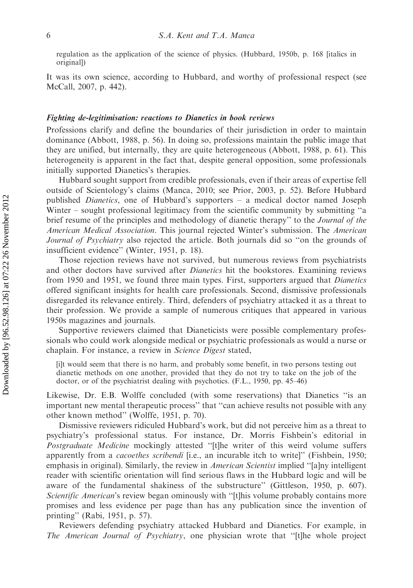regulation as the application of the science of physics. (Hubbard, 1950b, p. 168 [italics in original])

It was its own science, according to Hubbard, and worthy of professional respect (see McCall, 2007, p. 442).

## Fighting de-legitimisation: reactions to Dianetics in book reviews

Professions clarify and define the boundaries of their jurisdiction in order to maintain dominance (Abbott, 1988, p. 56). In doing so, professions maintain the public image that they are unified, but internally, they are quite heterogeneous (Abbott, 1988, p. 61). This heterogeneity is apparent in the fact that, despite general opposition, some professionals initially supported Dianetics's therapies.

Hubbard sought support from credible professionals, even if their areas of expertise fell outside of Scientology's claims (Manca, 2010; see Prior, 2003, p. 52). Before Hubbard published Dianetics, one of Hubbard's supporters – a medical doctor named Joseph Winter – sought professional legitimacy from the scientific community by submitting "a brief resume of the principles and methodology of dianetic therapy'' to the Journal of the American Medical Association. This journal rejected Winter's submission. The American Journal of Psychiatry also rejected the article. Both journals did so "on the grounds of insufficient evidence'' (Winter, 1951, p. 18).

Those rejection reviews have not survived, but numerous reviews from psychiatrists and other doctors have survived after Dianetics hit the bookstores. Examining reviews from 1950 and 1951, we found three main types. First, supporters argued that *Dianetics* offered significant insights for health care professionals. Second, dismissive professionals disregarded its relevance entirely. Third, defenders of psychiatry attacked it as a threat to their profession. We provide a sample of numerous critiques that appeared in various 1950s magazines and journals.

Supportive reviewers claimed that Dianeticists were possible complementary professionals who could work alongside medical or psychiatric professionals as would a nurse or chaplain. For instance, a review in Science Digest stated,

[i]t would seem that there is no harm, and probably some benefit, in two persons testing out dianetic methods on one another, provided that they do not try to take on the job of the doctor, or of the psychiatrist dealing with psychotics. (F.L., 1950, pp. 45–46)

Likewise, Dr. E.B. Wolffe concluded (with some reservations) that Dianetics ''is an important new mental therapeutic process'' that ''can achieve results not possible with any other known method'' (Wolffe, 1951, p. 70).

Dismissive reviewers ridiculed Hubbard's work, but did not perceive him as a threat to psychiatry's professional status. For instance, Dr. Morris Fishbein's editorial in Postgraduate Medicine mockingly attested "[t]he writer of this weird volume suffers apparently from a *cacoethes scribendi* [i.e., an incurable itch to write]" (Fishbein, 1950; emphasis in original). Similarly, the review in *American Scientist* implied "[a]ny intelligent reader with scientific orientation will find serious flaws in the Hubbard logic and will be aware of the fundamental shakiness of the substructure'' (Gittleson, 1950, p. 607). Scientific American's review began ominously with "[t]his volume probably contains more promises and less evidence per page than has any publication since the invention of printing'' (Rabi, 1951, p. 57).

Reviewers defending psychiatry attacked Hubbard and Dianetics. For example, in The American Journal of Psychiatry, one physician wrote that ''[t]he whole project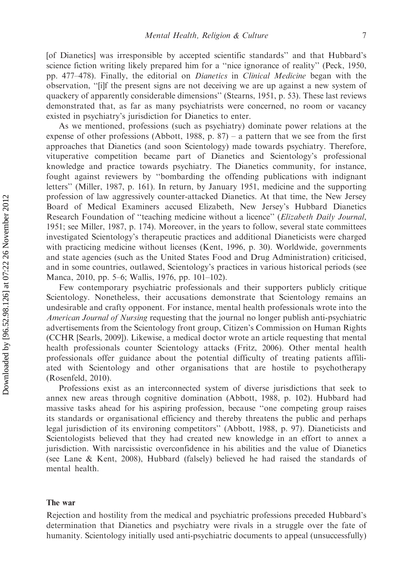[of Dianetics] was irresponsible by accepted scientific standards'' and that Hubbard's science fiction writing likely prepared him for a ''nice ignorance of reality'' (Peck, 1950, pp. 477–478). Finally, the editorial on Dianetics in Clinical Medicine began with the observation, ''[i]f the present signs are not deceiving we are up against a new system of quackery of apparently considerable dimensions'' (Stearns, 1951, p. 53). These last reviews demonstrated that, as far as many psychiatrists were concerned, no room or vacancy existed in psychiatry's jurisdiction for Dianetics to enter.

As we mentioned, professions (such as psychiatry) dominate power relations at the expense of other professions (Abbott, 1988, p. 87) – a pattern that we see from the first approaches that Dianetics (and soon Scientology) made towards psychiatry. Therefore, vituperative competition became part of Dianetics and Scientology's professional knowledge and practice towards psychiatry. The Dianetics community, for instance, fought against reviewers by ''bombarding the offending publications with indignant letters'' (Miller, 1987, p. 161). In return, by January 1951, medicine and the supporting profession of law aggressively counter-attacked Dianetics. At that time, the New Jersey Board of Medical Examiners accused Elizabeth, New Jersey's Hubbard Dianetics Research Foundation of "teaching medicine without a licence" (Elizabeth Daily Journal, 1951; see Miller, 1987, p. 174). Moreover, in the years to follow, several state committees investigated Scientology's therapeutic practices and additional Dianeticists were charged with practicing medicine without licenses (Kent, 1996, p. 30). Worldwide, governments and state agencies (such as the United States Food and Drug Administration) criticised, and in some countries, outlawed, Scientology's practices in various historical periods (see Manca, 2010, pp. 5–6; Wallis, 1976, pp. 101–102).

Few contemporary psychiatric professionals and their supporters publicly critique Scientology. Nonetheless, their accusations demonstrate that Scientology remains an undesirable and crafty opponent. For instance, mental health professionals wrote into the American Journal of Nursing requesting that the journal no longer publish anti-psychiatric advertisements from the Scientology front group, Citizen's Commission on Human Rights (CCHR [Searls, 2009]). Likewise, a medical doctor wrote an article requesting that mental health professionals counter Scientology attacks (Fritz, 2006). Other mental health professionals offer guidance about the potential difficulty of treating patients affiliated with Scientology and other organisations that are hostile to psychotherapy (Rosenfeld, 2010).

Professions exist as an interconnected system of diverse jurisdictions that seek to annex new areas through cognitive domination (Abbott, 1988, p. 102). Hubbard had massive tasks ahead for his aspiring profession, because ''one competing group raises its standards or organisational efficiency and thereby threatens the public and perhaps legal jurisdiction of its environing competitors'' (Abbott, 1988, p. 97). Dianeticists and Scientologists believed that they had created new knowledge in an effort to annex a jurisdiction. With narcissistic overconfidence in his abilities and the value of Dianetics (see Lane & Kent, 2008), Hubbard (falsely) believed he had raised the standards of mental health.

## The war

Rejection and hostility from the medical and psychiatric professions preceded Hubbard's determination that Dianetics and psychiatry were rivals in a struggle over the fate of humanity. Scientology initially used anti-psychiatric documents to appeal (unsuccessfully)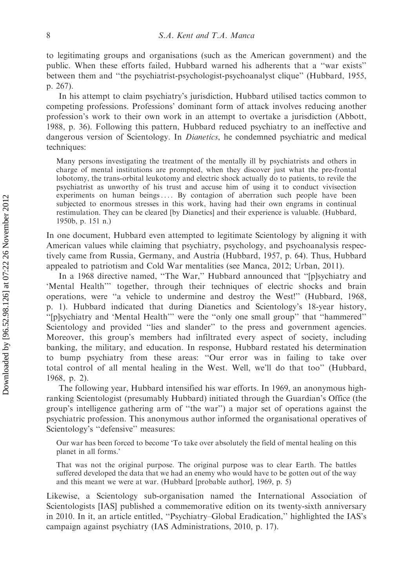to legitimating groups and organisations (such as the American government) and the public. When these efforts failed, Hubbard warned his adherents that a ''war exists'' between them and ''the psychiatrist-psychologist-psychoanalyst clique'' (Hubbard, 1955, p. 267).

In his attempt to claim psychiatry's jurisdiction, Hubbard utilised tactics common to competing professions. Professions' dominant form of attack involves reducing another profession's work to their own work in an attempt to overtake a jurisdiction (Abbott, 1988, p. 36). Following this pattern, Hubbard reduced psychiatry to an ineffective and dangerous version of Scientology. In Dianetics, he condemned psychiatric and medical techniques:

Many persons investigating the treatment of the mentally ill by psychiatrists and others in charge of mental institutions are prompted, when they discover just what the pre-frontal lobotomy, the trans-orbital leukotomy and electric shock actually do to patients, to revile the psychiatrist as unworthy of his trust and accuse him of using it to conduct vivisection experiments on human beings... . By contagion of aberration such people have been subjected to enormous stresses in this work, having had their own engrams in continual restimulation. They can be cleared [by Dianetics] and their experience is valuable. (Hubbard, 1950b, p. 151 n.)

In one document, Hubbard even attempted to legitimate Scientology by aligning it with American values while claiming that psychiatry, psychology, and psychoanalysis respectively came from Russia, Germany, and Austria (Hubbard, 1957, p. 64). Thus, Hubbard appealed to patriotism and Cold War mentalities (see Manca, 2012; Urban, 2011).

In a 1968 directive named, ''The War,'' Hubbard announced that ''[p]sychiatry and 'Mental Health''' together, through their techniques of electric shocks and brain operations, were ''a vehicle to undermine and destroy the West!'' (Hubbard, 1968, p. 1). Hubbard indicated that during Dianetics and Scientology's 18-year history, ''[p]sychiatry and 'Mental Health''' were the ''only one small group'' that ''hammered'' Scientology and provided ''lies and slander'' to the press and government agencies. Moreover, this group's members had infiltrated every aspect of society, including banking, the military, and education. In response, Hubbard restated his determination to bump psychiatry from these areas: ''Our error was in failing to take over total control of all mental healing in the West. Well, we'll do that too'' (Hubbard, 1968, p. 2).

The following year, Hubbard intensified his war efforts. In 1969, an anonymous highranking Scientologist (presumably Hubbard) initiated through the Guardian's Office (the group's intelligence gathering arm of ''the war'') a major set of operations against the psychiatric profession. This anonymous author informed the organisational operatives of Scientology's ''defensive'' measures:

Our war has been forced to become 'To take over absolutely the field of mental healing on this planet in all forms.'

That was not the original purpose. The original purpose was to clear Earth. The battles suffered developed the data that we had an enemy who would have to be gotten out of the way and this meant we were at war. (Hubbard [probable author], 1969, p. 5)

Likewise, a Scientology sub-organisation named the International Association of Scientologists [IAS] published a commemorative edition on its twenty-sixth anniversary in 2010. In it, an article entitled, ''Psychiatry–Global Eradication,'' highlighted the IAS's campaign against psychiatry (IAS Administrations, 2010, p. 17).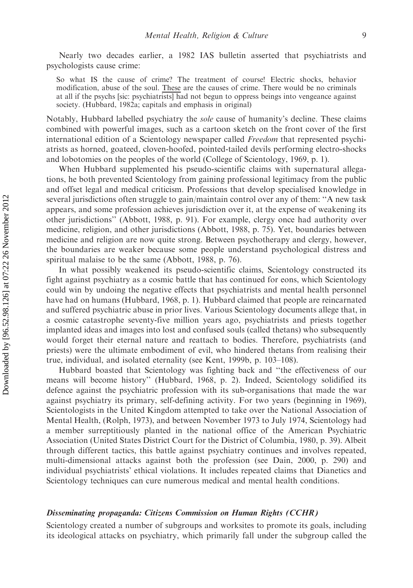Nearly two decades earlier, a 1982 IAS bulletin asserted that psychiatrists and psychologists cause crime:

So what IS the cause of crime? The treatment of course! Electric shocks, behavior modification, abuse of the soul. These are the causes of crime. There would be no criminals at all if the psychs [sic: psychiatrists] had not begun to oppress beings into vengeance against society. (Hubbard, 1982a; capitals and emphasis in original)

Notably, Hubbard labelled psychiatry the sole cause of humanity's decline. These claims combined with powerful images, such as a cartoon sketch on the front cover of the first international edition of a Scientology newspaper called Freedom that represented psychiatrists as horned, goateed, cloven-hoofed, pointed-tailed devils performing electro-shocks and lobotomies on the peoples of the world (College of Scientology, 1969, p. 1).

When Hubbard supplemented his pseudo-scientific claims with supernatural allegations, he both prevented Scientology from gaining professional legitimacy from the public and offset legal and medical criticism. Professions that develop specialised knowledge in several jurisdictions often struggle to gain/maintain control over any of them: ''A new task appears, and some profession achieves jurisdiction over it, at the expense of weakening its other jurisdictions'' (Abbott, 1988, p. 91). For example, clergy once had authority over medicine, religion, and other jurisdictions (Abbott, 1988, p. 75). Yet, boundaries between medicine and religion are now quite strong. Between psychotherapy and clergy, however, the boundaries are weaker because some people understand psychological distress and spiritual malaise to be the same (Abbott, 1988, p. 76).

In what possibly weakened its pseudo-scientific claims, Scientology constructed its fight against psychiatry as a cosmic battle that has continued for eons, which Scientology could win by undoing the negative effects that psychiatrists and mental health personnel have had on humans (Hubbard, 1968, p. 1). Hubbard claimed that people are reincarnated and suffered psychiatric abuse in prior lives. Various Scientology documents allege that, in a cosmic catastrophe seventy-five million years ago, psychiatrists and priests together implanted ideas and images into lost and confused souls (called thetans) who subsequently would forget their eternal nature and reattach to bodies. Therefore, psychiatrists (and priests) were the ultimate embodiment of evil, who hindered thetans from realising their true, individual, and isolated eternality (see Kent, 1999b, p. 103–108).

Hubbard boasted that Scientology was fighting back and ''the effectiveness of our means will become history'' (Hubbard, 1968, p. 2). Indeed, Scientology solidified its defence against the psychiatric profession with its sub-organisations that made the war against psychiatry its primary, self-defining activity. For two years (beginning in 1969), Scientologists in the United Kingdom attempted to take over the National Association of Mental Health, (Rolph, 1973), and between November 1973 to July 1974, Scientology had a member surreptitiously planted in the national office of the American Psychiatric Association (United States District Court for the District of Columbia, 1980, p. 39). Albeit through different tactics, this battle against psychiatry continues and involves repeated, multi-dimensional attacks against both the profession (see Dain, 2000, p. 290) and individual psychiatrists' ethical violations. It includes repeated claims that Dianetics and Scientology techniques can cure numerous medical and mental health conditions.

# Disseminating propaganda: Citizens Commission on Human Rights (CCHR)

Scientology created a number of subgroups and worksites to promote its goals, including its ideological attacks on psychiatry, which primarily fall under the subgroup called the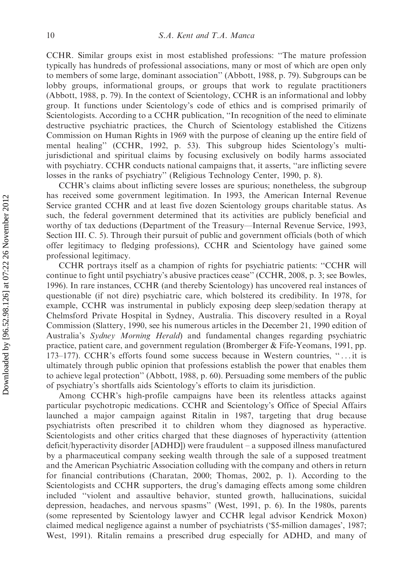CCHR. Similar groups exist in most established professions: ''The mature profession typically has hundreds of professional associations, many or most of which are open only to members of some large, dominant association'' (Abbott, 1988, p. 79). Subgroups can be lobby groups, informational groups, or groups that work to regulate practitioners (Abbott, 1988, p. 79). In the context of Scientology, CCHR is an informational and lobby group. It functions under Scientology's code of ethics and is comprised primarily of Scientologists. According to a CCHR publication, ''In recognition of the need to eliminate destructive psychiatric practices, the Church of Scientology established the Citizens Commission on Human Rights in 1969 with the purpose of cleaning up the entire field of mental healing'' (CCHR, 1992, p. 53). This subgroup hides Scientology's multijurisdictional and spiritual claims by focusing exclusively on bodily harms associated with psychiatry. CCHR conducts national campaigns that, it asserts, "are inflicting severe losses in the ranks of psychiatry'' (Religious Technology Center, 1990, p. 8).

CCHR's claims about inflicting severe losses are spurious; nonetheless, the subgroup has received some government legitimation. In 1993, the American Internal Revenue Service granted CCHR and at least five dozen Scientology groups charitable status. As such, the federal government determined that its activities are publicly beneficial and worthy of tax deductions (Department of the Treasury—Internal Revenue Service, 1993, Section III. C. 5). Through their pursuit of public and government officials (both of which offer legitimacy to fledging professions), CCHR and Scientology have gained some professional legitimacy.

CCHR portrays itself as a champion of rights for psychiatric patients: ''CCHR will continue to fight until psychiatry's abusive practices cease'' (CCHR, 2008, p. 3; see Bowles, 1996). In rare instances, CCHR (and thereby Scientology) has uncovered real instances of questionable (if not dire) psychiatric care, which bolstered its credibility. In 1978, for example, CCHR was instrumental in publicly exposing deep sleep/sedation therapy at Chelmsford Private Hospital in Sydney, Australia. This discovery resulted in a Royal Commission (Slattery, 1990, see his numerous articles in the December 21, 1990 edition of Australia's Sydney Morning Herald) and fundamental changes regarding psychiatric practice, patient care, and government regulation (Bromberger & Fife-Yeomans, 1991, pp. 173–177). CCHR's efforts found some success because in Western countries, '' ... it is ultimately through public opinion that professions establish the power that enables them to achieve legal protection'' (Abbott, 1988, p. 60). Persuading some members of the public of psychiatry's shortfalls aids Scientology's efforts to claim its jurisdiction.

Among CCHR's high-profile campaigns have been its relentless attacks against particular psychotropic medications. CCHR and Scientology's Office of Special Affairs launched a major campaign against Ritalin in 1987, targeting that drug because psychiatrists often prescribed it to children whom they diagnosed as hyperactive. Scientologists and other critics charged that these diagnoses of hyperactivity (attention deficit/hyperactivity disorder [ADHD]) were fraudulent – a supposed illness manufactured by a pharmaceutical company seeking wealth through the sale of a supposed treatment and the American Psychiatric Association colluding with the company and others in return for financial contributions (Charatan, 2000; Thomas, 2002, p. 1). According to the Scientologists and CCHR supporters, the drug's damaging effects among some children included ''violent and assaultive behavior, stunted growth, hallucinations, suicidal depression, headaches, and nervous spasms'' (West, 1991, p. 6). In the 1980s, parents (some represented by Scientology lawyer and CCHR legal advisor Kendrick Moxon) claimed medical negligence against a number of psychiatrists ('\$5-million damages', 1987; West, 1991). Ritalin remains a prescribed drug especially for ADHD, and many of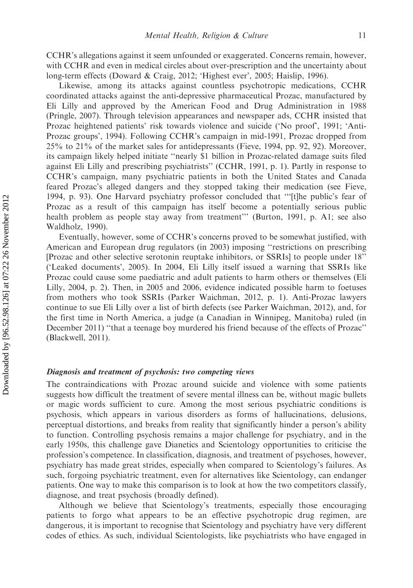CCHR's allegations against it seem unfounded or exaggerated. Concerns remain, however, with CCHR and even in medical circles about over-prescription and the uncertainty about long-term effects (Doward & Craig, 2012; 'Highest ever', 2005; Haislip, 1996).

Likewise, among its attacks against countless psychotropic medications, CCHR coordinated attacks against the anti-depressive pharmaceutical Prozac, manufactured by Eli Lilly and approved by the American Food and Drug Administration in 1988 (Pringle, 2007). Through television appearances and newspaper ads, CCHR insisted that Prozac heightened patients' risk towards violence and suicide ('No proof', 1991; 'Anti-Prozac groups', 1994). Following CCHR's campaign in mid-1991, Prozac dropped from 25% to 21% of the market sales for antidepressants (Fieve, 1994, pp. 92, 92). Moreover, its campaign likely helped initiate ''nearly \$1 billion in Prozac-related damage suits filed against Eli Lilly and prescribing psychiatrists'' (CCHR, 1991, p. 1). Partly in response to CCHR's campaign, many psychiatric patients in both the United States and Canada feared Prozac's alleged dangers and they stopped taking their medication (see Fieve, 1994, p. 93). One Harvard psychiatry professor concluded that '''[t]he public's fear of Prozac as a result of this campaign has itself become a potentially serious public health problem as people stay away from treatment''' (Burton, 1991, p. A1; see also Waldholz, 1990).

Eventually, however, some of CCHR's concerns proved to be somewhat justified, with American and European drug regulators (in 2003) imposing ''restrictions on prescribing [Prozac and other selective serotonin reuptake inhibitors, or SSRIs] to people under 18'' ('Leaked documents', 2005). In 2004, Eli Lilly itself issued a warning that SSRIs like Prozac could cause some paediatric and adult patients to harm others or themselves (Eli Lilly, 2004, p. 2). Then, in 2005 and 2006, evidence indicated possible harm to foetuses from mothers who took SSRIs (Parker Waichman, 2012, p. 1). Anti-Prozac lawyers continue to sue Eli Lilly over a list of birth defects (see Parker Waichman, 2012), and, for the first time in North America, a judge (a Canadian in Winnipeg, Manitoba) ruled (in December 2011) ''that a teenage boy murdered his friend because of the effects of Prozac'' (Blackwell, 2011).

# Diagnosis and treatment of psychosis: two competing views

The contraindications with Prozac around suicide and violence with some patients suggests how difficult the treatment of severe mental illness can be, without magic bullets or magic words sufficient to cure. Among the most serious psychiatric conditions is psychosis, which appears in various disorders as forms of hallucinations, delusions, perceptual distortions, and breaks from reality that significantly hinder a person's ability to function. Controlling psychosis remains a major challenge for psychiatry, and in the early 1950s, this challenge gave Dianetics and Scientology opportunities to criticise the profession's competence. In classification, diagnosis, and treatment of psychoses, however, psychiatry has made great strides, especially when compared to Scientology's failures. As such, forgoing psychiatric treatment, even for alternatives like Scientology, can endanger patients. One way to make this comparison is to look at how the two competitors classify, diagnose, and treat psychosis (broadly defined).

Although we believe that Scientology's treatments, especially those encouraging patients to forgo what appears to be an effective psychotropic drug regimen, are dangerous, it is important to recognise that Scientology and psychiatry have very different codes of ethics. As such, individual Scientologists, like psychiatrists who have engaged in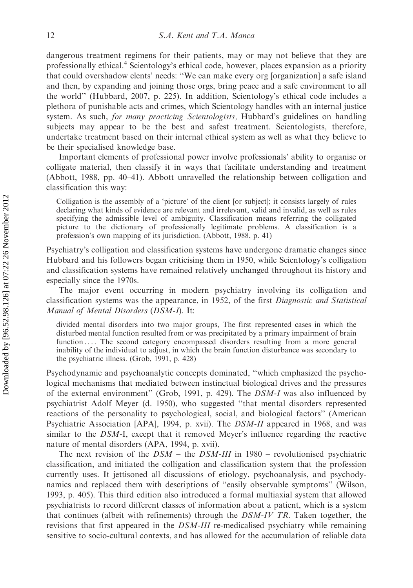dangerous treatment regimens for their patients, may or may not believe that they are professionally ethical.<sup>4</sup> Scientology's ethical code, however, places expansion as a priority that could overshadow clents' needs: ''We can make every org [organization] a safe island and then, by expanding and joining those orgs, bring peace and a safe environment to all the world'' (Hubbard, 2007, p. 225). In addition, Scientology's ethical code includes a plethora of punishable acts and crimes, which Scientology handles with an internal justice system. As such, for many practicing Scientologists, Hubbard's guidelines on handling subjects may appear to be the best and safest treatment. Scientologists, therefore, undertake treatment based on their internal ethical system as well as what they believe to be their specialised knowledge base.

Important elements of professional power involve professionals' ability to organise or colligate material, then classify it in ways that facilitate understanding and treatment (Abbott, 1988, pp. 40–41). Abbott unravelled the relationship between colligation and classification this way:

Colligation is the assembly of a 'picture' of the client [or subject]; it consists largely of rules declaring what kinds of evidence are relevant and irrelevant, valid and invalid, as well as rules specifying the admissible level of ambiguity. Classification means referring the colligated picture to the dictionary of professionally legitimate problems. A classification is a profession's own mapping of its jurisdiction. (Abbott, 1988, p. 41)

Psychiatry's colligation and classification systems have undergone dramatic changes since Hubbard and his followers began criticising them in 1950, while Scientology's colligation and classification systems have remained relatively unchanged throughout its history and especially since the 1970s.

The major event occurring in modern psychiatry involving its colligation and classification systems was the appearance, in 1952, of the first Diagnostic and Statistical Manual of Mental Disorders (DSM-I). It:

divided mental disorders into two major groups, The first represented cases in which the disturbed mental function resulted from or was precipitated by a primary impairment of brain function ... . The second category encompassed disorders resulting from a more general inability of the individual to adjust, in which the brain function disturbance was secondary to the psychiatric illness. (Grob, 1991, p. 428)

Psychodynamic and psychoanalytic concepts dominated, ''which emphasized the psychological mechanisms that mediated between instinctual biological drives and the pressures of the external environment'' (Grob, 1991, p. 429). The DSM-I was also influenced by psychiatrist Adolf Meyer (d. 1950), who suggested ''that mental disorders represented reactions of the personality to psychological, social, and biological factors'' (American Psychiatric Association [APA], 1994, p. xvii). The DSM-II appeared in 1968, and was similar to the DSM-I, except that it removed Meyer's influence regarding the reactive nature of mental disorders (APA, 1994, p. xvii).

The next revision of the  $DSM -$  the  $DSM-III$  in 1980 – revolutionised psychiatric classification, and initiated the colligation and classification system that the profession currently uses. It jettisoned all discussions of etiology, psychoanalysis, and psychodynamics and replaced them with descriptions of ''easily observable symptoms'' (Wilson, 1993, p. 405). This third edition also introduced a formal multiaxial system that allowed psychiatrists to record different classes of information about a patient, which is a system that continues (albeit with refinements) through the DSM-IV TR. Taken together, the revisions that first appeared in the DSM-III re-medicalised psychiatry while remaining sensitive to socio-cultural contexts, and has allowed for the accumulation of reliable data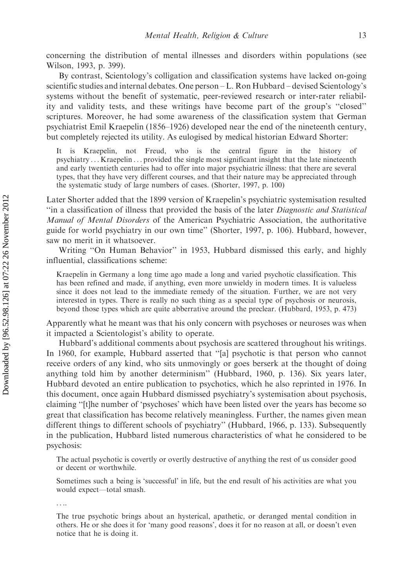concerning the distribution of mental illnesses and disorders within populations (see Wilson, 1993, p. 399).

By contrast, Scientology's colligation and classification systems have lacked on-going scientific studies and internal debates. One person – L. Ron Hubbard – devised Scientology's systems without the benefit of systematic, peer-reviewed research or inter-rater reliability and validity tests, and these writings have become part of the group's ''closed'' scriptures. Moreover, he had some awareness of the classification system that German psychiatrist Emil Kraepelin (1856–1926) developed near the end of the nineteenth century, but completely rejected its utility. As eulogised by medical historian Edward Shorter:

It is Kraepelin, not Freud, who is the central figure in the history of psychiatry ... Kraepelin ... provided the single most significant insight that the late nineteenth and early twentieth centuries had to offer into major psychiatric illness: that there are several types, that they have very different courses, and that their nature may be appreciated through the systematic study of large numbers of cases. (Shorter, 1997, p. 100)

Later Shorter added that the 1899 version of Kraepelin's psychiatric systemisation resulted ''in a classification of illness that provided the basis of the later Diagnostic and Statistical Manual of Mental Disorders of the American Psychiatric Association, the authoritative guide for world psychiatry in our own time'' (Shorter, 1997, p. 106). Hubbard, however, saw no merit in it whatsoever.

Writing ''On Human Behavior'' in 1953, Hubbard dismissed this early, and highly influential, classifications scheme:

Kraepelin in Germany a long time ago made a long and varied psychotic classification. This has been refined and made, if anything, even more unwieldy in modern times. It is valueless since it does not lead to the immediate remedy of the situation. Further, we are not very interested in types. There is really no such thing as a special type of psychosis or neurosis, beyond those types which are quite abberrative around the preclear. (Hubbard, 1953, p. 473)

Apparently what he meant was that his only concern with psychoses or neuroses was when it impacted a Scientologist's ability to operate.

Hubbard's additional comments about psychosis are scattered throughout his writings. In 1960, for example, Hubbard asserted that ''[a] psychotic is that person who cannot receive orders of any kind, who sits unmovingly or goes berserk at the thought of doing anything told him by another determinism'' (Hubbard, 1960, p. 136). Six years later, Hubbard devoted an entire publication to psychotics, which he also reprinted in 1976. In this document, once again Hubbard dismissed psychiatry's systemisation about psychosis, claiming ''[t]he number of 'psychoses' which have been listed over the years has become so great that classification has become relatively meaningless. Further, the names given mean different things to different schools of psychiatry'' (Hubbard, 1966, p. 133). Subsequently in the publication, Hubbard listed numerous characteristics of what he considered to be psychosis:

The actual psychotic is covertly or overtly destructive of anything the rest of us consider good or decent or worthwhile.

Sometimes such a being is 'successful' in life, but the end result of his activities are what you would expect—total smash.

....

The true psychotic brings about an hysterical, apathetic, or deranged mental condition in others. He or she does it for 'many good reasons', does it for no reason at all, or doesn't even notice that he is doing it.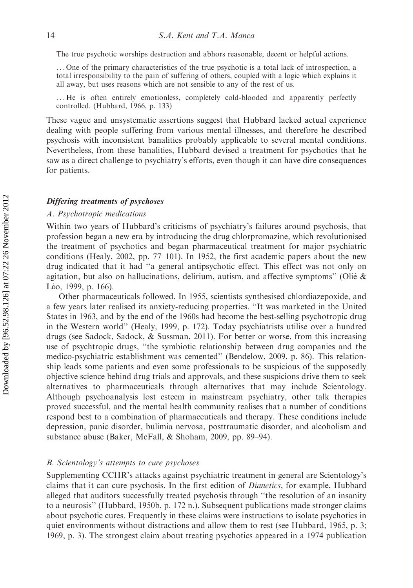The true psychotic worships destruction and abhors reasonable, decent or helpful actions.

... One of the primary characteristics of the true psychotic is a total lack of introspection, a total irresponsibility to the pain of suffering of others, coupled with a logic which explains it all away, but uses reasons which are not sensible to any of the rest of us.

... He is often entirely emotionless, completely cold-blooded and apparently perfectly controlled. (Hubbard, 1966, p. 133)

These vague and unsystematic assertions suggest that Hubbard lacked actual experience dealing with people suffering from various mental illnesses, and therefore he described psychosis with inconsistent banalities probably applicable to several mental conditions. Nevertheless, from these banalities, Hubbard devised a treatment for psychotics that he saw as a direct challenge to psychiatry's efforts, even though it can have dire consequences for patients.

# Differing treatments of psychoses

## A. Psychotropic medications

Within two years of Hubbard's criticisms of psychiatry's failures around psychosis, that profession began a new era by introducing the drug chlorpromazine, which revolutionised the treatment of psychotics and began pharmaceutical treatment for major psychiatric conditions (Healy, 2002, pp. 77–101). In 1952, the first academic papers about the new drug indicated that it had ''a general antipsychotic effect. This effect was not only on agitation, but also on hallucinations, delirium, autism, and affective symptoms" (Olie  $\&$ Loo, 1999, p. 166).

Other pharmaceuticals followed. In 1955, scientists synthesised chlordiazepoxide, and a few years later realised its anxiety-reducing properties. ''It was marketed in the United States in 1963, and by the end of the 1960s had become the best-selling psychotropic drug in the Western world'' (Healy, 1999, p. 172). Today psychiatrists utilise over a hundred drugs (see Sadock, Sadock, & Sussman, 2011). For better or worse, from this increasing use of psychtropic drugs, ''the symbiotic relationship between drug companies and the medico-psychiatric establishment was cemented'' (Bendelow, 2009, p. 86). This relationship leads some patients and even some professionals to be suspicious of the supposedly objective science behind drug trials and approvals, and these suspicions drive them to seek alternatives to pharmaceuticals through alternatives that may include Scientology. Although psychoanalysis lost esteem in mainstream psychiatry, other talk therapies proved successful, and the mental health community realises that a number of conditions respond best to a combination of pharmaceuticals and therapy. These conditions include depression, panic disorder, bulimia nervosa, posttraumatic disorder, and alcoholism and substance abuse (Baker, McFall, & Shoham, 2009, pp. 89–94).

# B. Scientology's attempts to cure psychoses

Supplementing CCHR's attacks against psychiatric treatment in general are Scientology's claims that it can cure psychosis. In the first edition of Dianetics, for example, Hubbard alleged that auditors successfully treated psychosis through ''the resolution of an insanity to a neurosis'' (Hubbard, 1950b, p. 172 n.). Subsequent publications made stronger claims about psychotic cures. Frequently in these claims were instructions to isolate psychotics in quiet environments without distractions and allow them to rest (see Hubbard, 1965, p. 3; 1969, p. 3). The strongest claim about treating psychotics appeared in a 1974 publication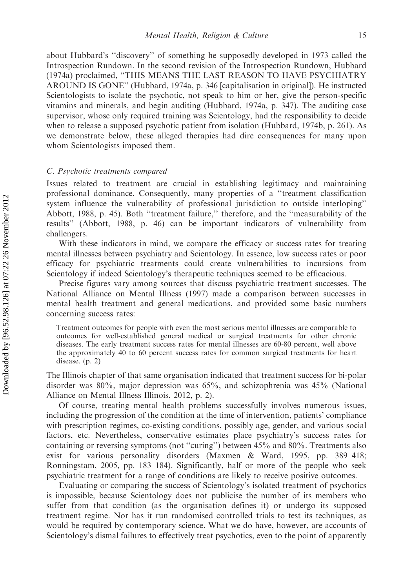about Hubbard's ''discovery'' of something he supposedly developed in 1973 called the Introspection Rundown. In the second revision of the Introspection Rundown, Hubbard (1974a) proclaimed, ''THIS MEANS THE LAST REASON TO HAVE PSYCHIATRY AROUND IS GONE'' (Hubbard, 1974a, p. 346 [capitalisation in original]). He instructed Scientologists to isolate the psychotic, not speak to him or her, give the person-specific vitamins and minerals, and begin auditing (Hubbard, 1974a, p. 347). The auditing case supervisor, whose only required training was Scientology, had the responsibility to decide when to release a supposed psychotic patient from isolation (Hubbard, 1974b, p. 261). As we demonstrate below, these alleged therapies had dire consequences for many upon whom Scientologists imposed them.

#### C. Psychotic treatments compared

Issues related to treatment are crucial in establishing legitimacy and maintaining professional dominance. Consequently, many properties of a ''treatment classification system influence the vulnerability of professional jurisdiction to outside interloping'' Abbott, 1988, p. 45). Both ''treatment failure,'' therefore, and the ''measurability of the results'' (Abbott, 1988, p. 46) can be important indicators of vulnerability from challengers.

With these indicators in mind, we compare the efficacy or success rates for treating mental illnesses between psychiatry and Scientology. In essence, low success rates or poor efficacy for psychiatric treatments could create vulnerabilities to incursions from Scientology if indeed Scientology's therapeutic techniques seemed to be efficacious.

Precise figures vary among sources that discuss psychiatric treatment successes. The National Alliance on Mental Illness (1997) made a comparison between successes in mental health treatment and general medications, and provided some basic numbers concerning success rates:

Treatment outcomes for people with even the most serious mental illnesses are comparable to outcomes for well-established general medical or surgical treatments for other chronic diseases. The early treatment success rates for mental illnesses are 60-80 percent, well above the approximately 40 to 60 percent success rates for common surgical treatments for heart disease. (p. 2)

The Illinois chapter of that same organisation indicated that treatment success for bi-polar disorder was 80%, major depression was 65%, and schizophrenia was 45% (National Alliance on Mental Illness Illinois, 2012, p. 2).

Of course, treating mental health problems successfully involves numerous issues, including the progression of the condition at the time of intervention, patients' compliance with prescription regimes, co-existing conditions, possibly age, gender, and various social factors, etc. Nevertheless, conservative estimates place psychiatry's success rates for containing or reversing symptoms (not ''curing'') between 45% and 80%. Treatments also exist for various personality disorders (Maxmen & Ward, 1995, pp. 389–418; Ronningstam, 2005, pp. 183–184). Significantly, half or more of the people who seek psychiatric treatment for a range of conditions are likely to receive positive outcomes.

Evaluating or comparing the success of Scientology's isolated treatment of psychotics is impossible, because Scientology does not publicise the number of its members who suffer from that condition (as the organisation defines it) or undergo its supposed treatment regime. Nor has it run randomised controlled trials to test its techniques, as would be required by contemporary science. What we do have, however, are accounts of Scientology's dismal failures to effectively treat psychotics, even to the point of apparently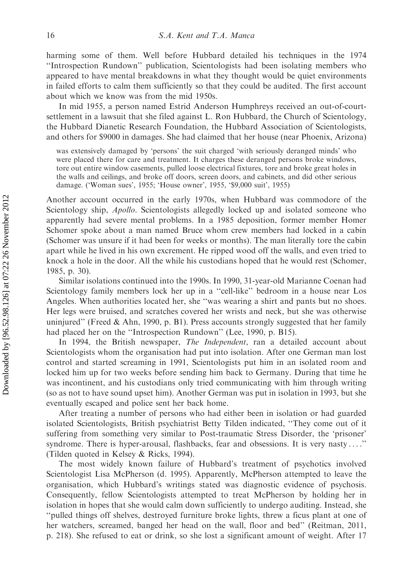harming some of them. Well before Hubbard detailed his techniques in the 1974 ''Introspection Rundown'' publication, Scientologists had been isolating members who appeared to have mental breakdowns in what they thought would be quiet environments in failed efforts to calm them sufficiently so that they could be audited. The first account about which we know was from the mid 1950s.

In mid 1955, a person named Estrid Anderson Humphreys received an out-of-courtsettlement in a lawsuit that she filed against L. Ron Hubbard, the Church of Scientology, the Hubbard Dianetic Research Foundation, the Hubbard Association of Scientologists, and others for \$9000 in damages. She had claimed that her house (near Phoenix, Arizona)

was extensively damaged by 'persons' the suit charged 'with seriously deranged minds' who were placed there for care and treatment. It charges these deranged persons broke windows, tore out entire window casements, pulled loose electrical fixtures, tore and broke great holes in the walls and ceilings, and broke off doors, screen doors, and cabinets, and did other serious damage. ('Woman sues', 1955; 'House owner', 1955, '\$9,000 suit', 1955)

Another account occurred in the early 1970s, when Hubbard was commodore of the Scientology ship, Apollo. Scientologists allegedly locked up and isolated someone who apparently had severe mental problems. In a 1985 deposition, former member Homer Schomer spoke about a man named Bruce whom crew members had locked in a cabin (Schomer was unsure if it had been for weeks or months). The man literally tore the cabin apart while he lived in his own excrement. He ripped wood off the walls, and even tried to knock a hole in the door. All the while his custodians hoped that he would rest (Schomer, 1985, p. 30).

Similar isolations continued into the 1990s. In 1990, 31-year-old Marianne Coenan had Scientology family members lock her up in a ''cell-like'' bedroom in a house near Los Angeles. When authorities located her, she ''was wearing a shirt and pants but no shoes. Her legs were bruised, and scratches covered her wrists and neck, but she was otherwise uninjured'' (Freed & Ahn, 1990, p. B1). Press accounts strongly suggested that her family had placed her on the ''Introspection Rundown'' (Lee, 1990, p. B15).

In 1994, the British newspaper, *The Independent*, ran a detailed account about Scientologists whom the organisation had put into isolation. After one German man lost control and started screaming in 1991, Scientologists put him in an isolated room and locked him up for two weeks before sending him back to Germany. During that time he was incontinent, and his custodians only tried communicating with him through writing (so as not to have sound upset him). Another German was put in isolation in 1993, but she eventually escaped and police sent her back home.

After treating a number of persons who had either been in isolation or had guarded isolated Scientologists, British psychiatrist Betty Tilden indicated, ''They come out of it suffering from something very similar to Post-traumatic Stress Disorder, the 'prisoner' syndrome. There is hyper-arousal, flashbacks, fear and obsessions. It is very nasty ... .'' (Tilden quoted in Kelsey & Ricks, 1994).

The most widely known failure of Hubbard's treatment of psychotics involved Scientologist Lisa McPherson (d. 1995). Apparently, McPherson attempted to leave the organisation, which Hubbard's writings stated was diagnostic evidence of psychosis. Consequently, fellow Scientologists attempted to treat McPherson by holding her in isolation in hopes that she would calm down sufficiently to undergo auditing. Instead, she ''pulled things off shelves, destroyed furniture broke lights, threw a ficus plant at one of her watchers, screamed, banged her head on the wall, floor and bed'' (Reitman, 2011, p. 218). She refused to eat or drink, so she lost a significant amount of weight. After 17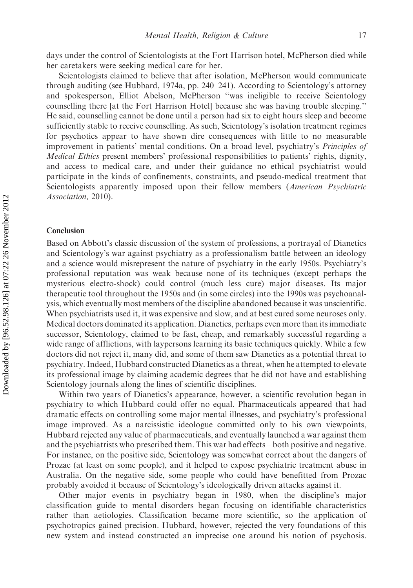days under the control of Scientologists at the Fort Harrison hotel, McPherson died while her caretakers were seeking medical care for her.

Scientologists claimed to believe that after isolation, McPherson would communicate through auditing (see Hubbard, 1974a, pp. 240–241). According to Scientology's attorney and spokesperson, Elliot Abelson, McPherson ''was ineligible to receive Scientology counselling there [at the Fort Harrison Hotel] because she was having trouble sleeping.'' He said, counselling cannot be done until a person had six to eight hours sleep and become sufficiently stable to receive counselling. As such, Scientology's isolation treatment regimes for psychotics appear to have shown dire consequences with little to no measurable improvement in patients' mental conditions. On a broad level, psychiatry's Principles of Medical Ethics present members' professional responsibilities to patients' rights, dignity, and access to medical care, and under their guidance no ethical psychiatrist would participate in the kinds of confinements, constraints, and pseudo-medical treatment that Scientologists apparently imposed upon their fellow members (American Psychiatric Association, 2010).

### **Conclusion**

Based on Abbott's classic discussion of the system of professions, a portrayal of Dianetics and Scientology's war against psychiatry as a professionalism battle between an ideology and a science would misrepresent the nature of psychiatry in the early 1950s. Psychiatry's professional reputation was weak because none of its techniques (except perhaps the mysterious electro-shock) could control (much less cure) major diseases. Its major therapeutic tool throughout the 1950s and (in some circles) into the 1990s was psychoanalysis, which eventually most members of the discipline abandoned because it was unscientific. When psychiatrists used it, it was expensive and slow, and at best cured some neuroses only. Medical doctors dominated its application. Dianetics, perhaps even more than its immediate successor, Scientology, claimed to be fast, cheap, and remarkably successful regarding a wide range of afflictions, with laypersons learning its basic techniques quickly. While a few doctors did not reject it, many did, and some of them saw Dianetics as a potential threat to psychiatry. Indeed, Hubbard constructed Dianetics as a threat, when he attempted to elevate its professional image by claiming academic degrees that he did not have and establishing Scientology journals along the lines of scientific disciplines.

Within two years of Dianetics's appearance, however, a scientific revolution began in psychiatry to which Hubbard could offer no equal. Pharmaceuticals appeared that had dramatic effects on controlling some major mental illnesses, and psychiatry's professional image improved. As a narcissistic ideologue committed only to his own viewpoints, Hubbard rejected any value of pharmaceuticals, and eventually launched a war against them and the psychiatrists who prescribed them. This war had effects – both positive and negative. For instance, on the positive side, Scientology was somewhat correct about the dangers of Prozac (at least on some people), and it helped to expose psychiatric treatment abuse in Australia. On the negative side, some people who could have benefitted from Prozac probably avoided it because of Scientology's ideologically driven attacks against it.

Other major events in psychiatry began in 1980, when the discipline's major classification guide to mental disorders began focusing on identifiable characteristics rather than aetiologies. Classification became more scientific, so the application of psychotropics gained precision. Hubbard, however, rejected the very foundations of this new system and instead constructed an imprecise one around his notion of psychosis.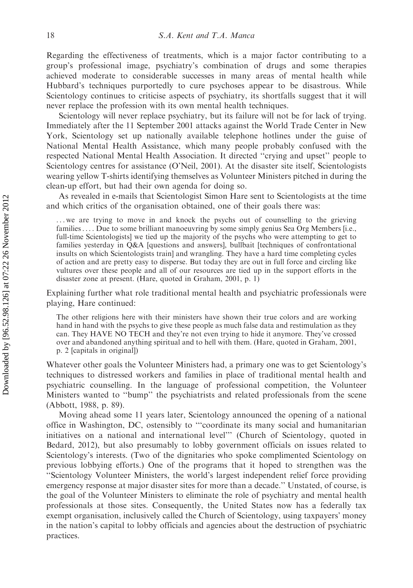Regarding the effectiveness of treatments, which is a major factor contributing to a group's professional image, psychiatry's combination of drugs and some therapies achieved moderate to considerable successes in many areas of mental health while Hubbard's techniques purportedly to cure psychoses appear to be disastrous. While Scientology continues to criticise aspects of psychiatry, its shortfalls suggest that it will never replace the profession with its own mental health techniques.

Scientology will never replace psychiatry, but its failure will not be for lack of trying. Immediately after the 11 September 2001 attacks against the World Trade Center in New York, Scientology set up nationally available telephone hotlines under the guise of National Mental Health Assistance, which many people probably confused with the respected National Mental Health Association. It directed ''crying and upset'' people to Scientology centres for assistance (O'Neil, 2001). At the disaster site itself, Scientologists wearing yellow T-shirts identifying themselves as Volunteer Ministers pitched in during the clean-up effort, but had their own agenda for doing so.

As revealed in e-mails that Scientologist Simon Hare sent to Scientologists at the time and which critics of the organisation obtained, one of their goals there was:

... we are trying to move in and knock the psychs out of counselling to the grieving families.... Due to some brilliant manoeuvring by some simply genius Sea Org Members [i.e., full-time Scientologists] we tied up the majority of the psychs who were attempting to get to families yesterday in Q&A [questions and answers], bullbait [techniques of confrontational insults on which Scientologists train] and wrangling. They have a hard time completing cycles of action and are pretty easy to disperse. But today they are out in full force and circling like vultures over these people and all of our resources are tied up in the support efforts in the disaster zone at present. (Hare, quoted in Graham, 2001, p. 1)

Explaining further what role traditional mental health and psychiatric professionals were playing, Hare continued:

The other religions here with their ministers have shown their true colors and are working hand in hand with the psychs to give these people as much false data and restimulation as they can. They HAVE NO TECH and they're not even trying to hide it anymore. They've crossed over and abandoned anything spiritual and to hell with them. (Hare, quoted in Graham, 2001, p. 2 [capitals in original])

Whatever other goals the Volunteer Ministers had, a primary one was to get Scientology's techniques to distressed workers and families in place of traditional mental health and psychiatric counselling. In the language of professional competition, the Volunteer Ministers wanted to ''bump'' the psychiatrists and related professionals from the scene (Abbott, 1988, p. 89).

Moving ahead some 11 years later, Scientology announced the opening of a national office in Washington, DC, ostensibly to '''coordinate its many social and humanitarian initiatives on a national and international level''' (Church of Scientology, quoted in Bedard, 2012), but also presumably to lobby government officials on issues related to Scientology's interests. (Two of the dignitaries who spoke complimented Scientology on previous lobbying efforts.) One of the programs that it hoped to strengthen was the ''Scientology Volunteer Ministers, the world's largest independent relief force providing emergency response at major disaster sites for more than a decade.'' Unstated, of course, is the goal of the Volunteer Ministers to eliminate the role of psychiatry and mental health professionals at those sites. Consequently, the United States now has a federally tax exempt organisation, inclusively called the Church of Scientology, using taxpayers' money in the nation's capital to lobby officials and agencies about the destruction of psychiatric practices.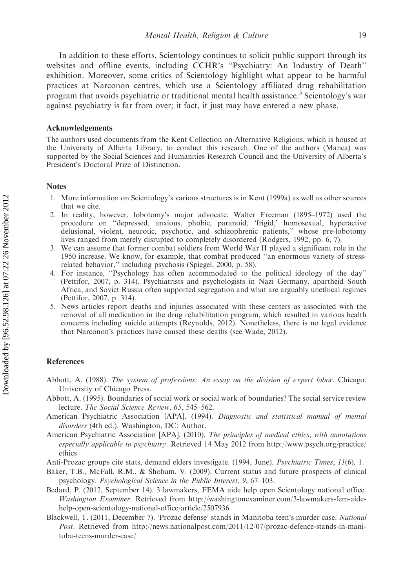In addition to these efforts, Scientology continues to solicit public support through its websites and offline events, including CCHR's ''Psychiatry: An Industry of Death'' exhibition. Moreover, some critics of Scientology highlight what appear to be harmful practices at Narconon centres, which use a Scientology affiliated drug rehabilitation program that avoids psychiatric or traditional mental health assistance.<sup>5</sup> Scientology's war against psychiatry is far from over; it fact, it just may have entered a new phase.

### Acknowledgements

The authors used documents from the Kent Collection on Alternative Religions, which is housed at the University of Alberta Library, to conduct this research. One of the authors (Manca) was supported by the Social Sciences and Humanities Research Council and the University of Alberta's President's Doctoral Prize of Distinction.

### **Notes**

- 1. More information on Scientology's various structures is in Kent (1999a) as well as other sources that we cite.
- 2. In reality, however, lobotomy's major advocate, Walter Freeman (1895–1972) used the procedure on ''depressed, anxious, phobic, paranoid, 'frigid,' homosexual, hyperactive delusional, violent, neurotic, psychotic, and schizophrenic patients,'' whose pre-lobotomy lives ranged from merely disrupted to completely disordered (Rodgers, 1992, pp. 6, 7).
- 3. We can assume that former combat soldiers from World War II played a significant role in the 1950 increase. We know, for example, that combat produced ''an enormous variety of stressrelated behavior,'' including psychosis (Spiegel, 2000, p. 58).
- 4. For instance, ''Psychology has often accommodated to the political ideology of the day'' (Pettifor, 2007, p. 314). Psychiatrists and psychologists in Nazi Germany, apartheid South Africa, and Soviet Russia often supported segregation and what are arguably unethical regimes (Pettifor, 2007, p. 314).
- 5. News articles report deaths and injuries associated with these centers as associated with the removal of all medication in the drug rehabilitation program, which resulted in various health concerns including suicide attempts (Reynolds, 2012). Nonetheless, there is no legal evidence that Narconon's practices have caused these deaths (see Wade, 2012).

## References

- Abbott, A. (1988). The system of professions: An essay on the division of expert labor. Chicago: University of Chicago Press.
- Abbott, A. (1995). Boundaries of social work or social work of boundaries? The social service review lecture. The Social Science Review, 65, 545–562.
- American Psychiatric Association [APA]. (1994). Diagnostic and statistical manual of mental disorders (4th ed.). Washington, DC: Author.
- American Psychiatric Association [APA]. (2010). The principles of medical ethics, with annotations especially applicable to psychiatry. Retrieved 14 May 2012 from http://www.psych.org/practice/ ethics
- Anti-Prozac groups cite stats, demand elders investigate. (1994, June). Psychiatric Times, 11(6), 1.
- Baker, T.B., McFall, R.M., & Shoham, V. (2009). Current status and future prospects of clinical psychology. Psychological Science in the Public Interest, 9, 67–103.
- Bedard, P. (2012, September 14). 3 lawmakers, FEMA aide help open Scientology national office. Washington Examiner. Retrieved from http://washingtonexaminer.com/3-lawmakers-fem-aidehelp-open-scientology-national-office/article/2507936
- Blackwell, T. (2011, December 7). 'Prozac defense' stands in Manitoba teen's murder case. National Post. Retrieved from http://news.nationalpost.com/2011/12/07/prozac-defence-stands-in-manitoba-teens-murder-case/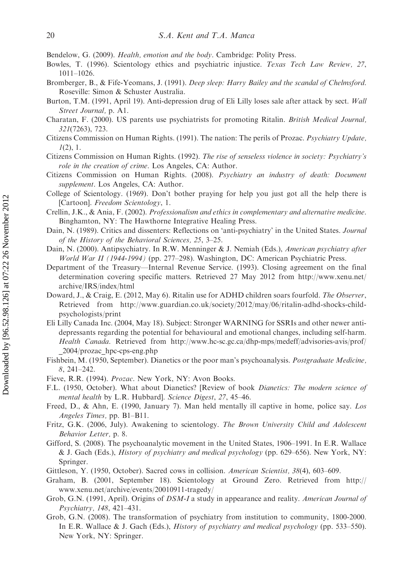Bendelow, G. (2009). Health, emotion and the body. Cambridge: Polity Press.

- Bowles, T. (1996). Scientology ethics and psychiatric injustice. Texas Tech Law Review, 27, 1011–1026.
- Bromberger, B., & Fife-Yeomans, J. (1991). Deep sleep: Harry Bailey and the scandal of Chelmsford. Roseville: Simon & Schuster Australia.
- Burton, T.M. (1991, April 19). Anti-depression drug of Eli Lilly loses sale after attack by sect. Wall Street Journal, p. A1.
- Charatan, F. (2000). US parents use psychiatrists for promoting Ritalin. British Medical Journal, 321(7263), 723.
- Citizens Commission on Human Rights. (1991). The nation: The perils of Prozac. Psychiatry Update,  $1(2)$ , 1.
- Citizens Commission on Human Rights. (1992). The rise of senseless violence in society: Psychiatry's role in the creation of crime. Los Angeles, CA: Author.
- Citizens Commission on Human Rights. (2008). Psychiatry an industry of death: Document supplement. Los Angeles, CA: Author.
- College of Scientology. (1969). Don't bother praying for help you just got all the help there is [Cartoon]. Freedom Scientology, 1.
- Crellin, J.K., & Ania, F. (2002). Professionalism and ethics in complementary and alternative medicine. Binghamton, NY: The Hawthorne Integrative Healing Press.
- Dain, N. (1989). Critics and dissenters: Reflections on 'anti-psychiatry' in the United States. Journal of the History of the Behavioral Sciences, 25, 3–25.
- Dain, N. (2000). Antipsychiatry. In R.W. Menninger & J. Nemiah (Eds.), American psychiatry after World War II (1944-1994) (pp. 277–298). Washington, DC: American Psychiatric Press.
- Department of the Treasury—Internal Revenue Service. (1993). Closing agreement on the final determination covering specific matters. Retrieved 27 May 2012 from http://www.xenu.net/ archive/IRS/index/html
- Doward, J., & Craig, E. (2012, May 6). Ritalin use for ADHD children soars fourfold. The Observer, Retrieved from http://www.guardian.co.uk/society/2012/may/06/ritalin-adhd-shocks-childpsychologists/print
- Eli Lilly Canada Inc. (2004, May 18). Subject: Stronger WARNING for SSRIs and other newer antidepressants regarding the potential for behavioural and emotional changes, including self-harm. Health Canada. Retrieved from http://www.hc-sc.gc.ca/dhp-mps/medeff/advisories-avis/prof/ \_2004/prozac\_hpc-cps-eng.php
- Fishbein, M. (1950, September). Dianetics or the poor man's psychoanalysis. Postgraduate Medicine, 8, 241–242.
- Fieve, R.R. (1994). Prozac. New York, NY: Avon Books.
- F.L. (1950, October). What about Dianetics? [Review of book Dianetics: The modern science of mental health by L.R. Hubbard]. Science Digest, 27, 45–46.
- Freed, D., & Ahn, E. (1990, January 7). Man held mentally ill captive in home, police say. Los Angeles Times, pp. B1–B11.
- Fritz, G.K. (2006, July). Awakening to scientology. The Brown University Child and Adolescent Behavior Letter, p. 8.
- Gifford, S. (2008). The psychoanalytic movement in the United States, 1906–1991. In E.R. Wallace & J. Gach (Eds.), History of psychiatry and medical psychology (pp. 629–656). New York, NY: Springer.
- Gittleson, Y. (1950, October). Sacred cows in collision. American Scientist, 38(4), 603–609.
- Graham, B. (2001, September 18). Scientology at Ground Zero. Retrieved from http:// www.xenu.net/archive/events/20010911-tragedy/
- Grob, G.N. (1991, April). Origins of DSM-I a study in appearance and reality. American Journal of Psychiatry, 148, 421–431.
- Grob, G.N. (2008). The transformation of psychiatry from institution to community, 1800-2000. In E.R. Wallace & J. Gach (Eds.), *History of psychiatry and medical psychology* (pp. 533–550). New York, NY: Springer.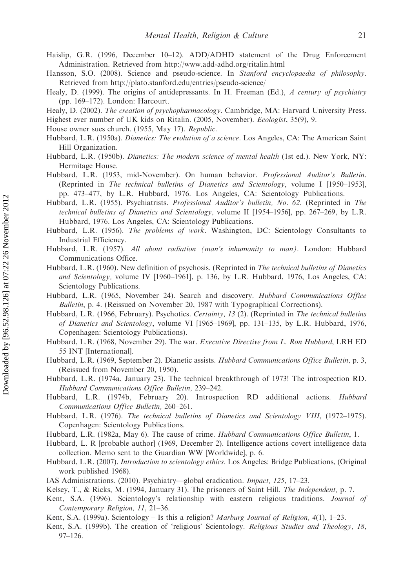- Haislip, G.R. (1996, December 10–12). ADD/ADHD statement of the Drug Enforcement Administration. Retrieved from http://www.add-adhd.org/ritalin.html
- Hansson, S.O. (2008). Science and pseudo-science. In Stanford encyclopaedia of philosophy. Retrieved from http://plato.stanford.edu/entries/pseudo-science/
- Healy, D. (1999). The origins of antidepressants. In H. Freeman (Ed.), A century of psychiatry (pp. 169–172). London: Harcourt.
- Healy, D. (2002). The creation of psychopharmacology. Cambridge, MA: Harvard University Press.
- Highest ever number of UK kids on Ritalin. (2005, November). Ecologist, 35(9), 9.
- House owner sues church. (1955, May 17). Republic.
- Hubbard, L.R. (1950a). *Dianetics: The evolution of a science*. Los Angeles, CA: The American Saint Hill Organization.
- Hubbard, L.R. (1950b). Dianetics: The modern science of mental health (1st ed.). New York, NY: Hermitage House.
- Hubbard, L.R. (1953, mid-November). On human behavior. Professional Auditor's Bulletin. (Reprinted in The technical bulletins of Dianetics and Scientology, volume I [1950–1953], pp. 473–477, by L.R. Hubbard, 1976. Los Angeles, CA: Scientology Publications.
- Hubbard, L.R. (1955). Psychiatrists. Professional Auditor's bulletin, No. 62. (Reprinted in The technical bulletins of Dianetics and Scientology, volume II [1954–1956], pp. 267–269, by L.R. Hubbard, 1976. Los Angeles, CA: Scientology Publications.
- Hubbard, L.R. (1956). The problems of work. Washington, DC: Scientology Consultants to Industrial Efficiency.
- Hubbard, L.R. (1957). All about radiation (man's inhumanity to man). London: Hubbard Communications Office.
- Hubbard, L.R. (1960). New definition of psychosis. (Reprinted in The technical bulletins of Dianetics and Scientology, volume IV [1960–1961], p. 136, by L.R. Hubbard, 1976, Los Angeles, CA: Scientology Publications.
- Hubbard, L.R. (1965, November 24). Search and discovery. Hubbard Communications Office Bulletin, p. 4. (Reissued on November 20, 1987 with Typographical Corrections).
- Hubbard, L.R. (1966, February). Psychotics. Certainty, 13 (2). (Reprinted in The technical bulletins of Dianetics and Scientology, volume VI [1965–1969], pp. 131–135, by L.R. Hubbard, 1976, Copenhagen: Scientology Publications).
- Hubbard, L.R. (1968, November 29). The war. Executive Directive from L. Ron Hubbard, LRH ED 55 INT [International].
- Hubbard, L.R. (1969, September 2). Dianetic assists. Hubbard Communications Office Bulletin, p. 3, (Reissued from November 20, 1950).
- Hubbard, L.R. (1974a, January 23). The technical breakthrough of 1973! The introspection RD. Hubbard Communications Office Bulletin, 239–242.
- Hubbard, L.R. (1974b, February 20). Introspection RD additional actions. Hubbard Communications Office Bulletin, 260–261.
- Hubbard, L.R. (1976). The technical bulletins of Dianetics and Scientology VIII, (1972–1975). Copenhagen: Scientology Publications.
- Hubbard, L.R. (1982a, May 6). The cause of crime. Hubbard Communications Office Bulletin, 1.
- Hubbard, L. R [probable author] (1969, December 2). Intelligence actions covert intelligence data collection. Memo sent to the Guardian WW [Worldwide], p. 6.
- Hubbard, L.R. (2007). Introduction to scientology ethics. Los Angeles: Bridge Publications, (Original work published 1968).
- IAS Administrations. (2010). Psychiatry—global eradication. Impact, 125, 17–23.
- Kelsey, T., & Ricks, M. (1994, January 31). The prisoners of Saint Hill. The Independent, p. 7.
- Kent, S.A. (1996). Scientology's relationship with eastern religious traditions. *Journal of* Contemporary Religion, 11, 21–36.
- Kent, S.A. (1999a). Scientology Is this a religion? Marburg Journal of Religion,  $4(1)$ , 1–23.
- Kent, S.A. (1999b). The creation of 'religious' Scientology. Religious Studies and Theology, 18, 97–126.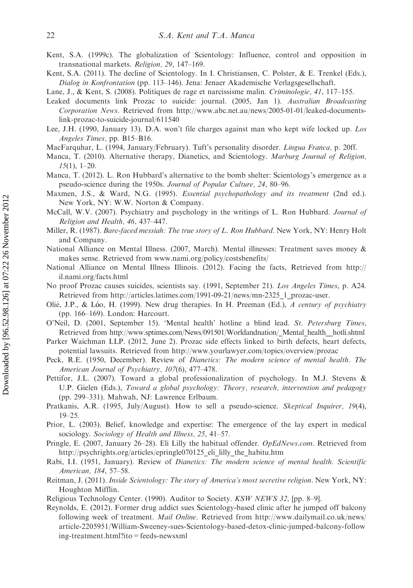- Kent, S.A. (1999c). The globalization of Scientology: Influence, control and opposition in transnational markets. Religion, 29, 147–169.
- Kent, S.A. (2011). The decline of Scientology. In I. Christiansen, C. Polster, & E. Trenkel (Eds.), Dialog in Konfrontation (pp. 113–146). Jena: Jenaer Akademische Verlagsgesellschaft.

Lane, J., & Kent, S. (2008). Politiques de rage et narcissisme malin. Criminologie, 41, 117–155.

- Leaked documents link Prozac to suicide: journal. (2005, Jan 1). Australian Broadcasting Corporation News. Retrieved from http://www.abc.net.au/news/2005-01-01/leaked-documentslink-prozac-to-suicide-journal/611540
- Lee, J.H. (1990, January 13). D.A. won't file charges against man who kept wife locked up. Los Angeles Times, pp. B15–B16.
- MacFarquhar, L. (1994, January/February). Tuft's personality disorder. Lingua Franca, p. 20ff.
- Manca, T. (2010). Alternative therapy, Dianetics, and Scientology. Marburg Journal of Religion,  $15(1)$ , 1-20.
- Manca, T. (2012). L. Ron Hubbard's alternative to the bomb shelter: Scientology's emergence as a pseudo-science during the 1950s. Journal of Popular Culture, 24, 80–96.
- Maxmen, J.S., & Ward, N.G. (1995). Essential psychopathology and its treatment (2nd ed.). New York, NY: W.W. Norton & Company.
- McCall, W.V. (2007). Psychiatry and psychology in the writings of L. Ron Hubbard. Journal of Religion and Health, 46, 437–447.
- Miller, R. (1987). Bare-faced messiah: The true story of L. Ron Hubbard. New York, NY: Henry Holt and Company.
- National Alliance on Mental Illness. (2007, March). Mental illnesses: Treatment saves money & makes sense. Retrieved from www.nami.org/policy/costsbenefits/
- National Alliance on Mental Illness Illinois. (2012). Facing the facts, Retrieved from http:// il.nami.org/facts.html
- No proof Prozac causes suicides, scientists say. (1991, September 21). Los Angeles Times, p. A24. Retrieved from http://articles.latimes.com/1991-09-21/news/mn-2325\_1\_prozac-user.
- Olie, J.P., & Loo, H. (1999). New drug therapies. In H. Preeman (Ed.), A century of psychiatry (pp. 166–169). London: Harcourt.
- O'Neil, D. (2001, September 15). 'Mental health' hotline a blind lead. St. Petersburg Times, Retrieved from http://www.sptimes.com/News/091501/Worldandnation/\_Mental\_health\_\_hotli.shtml
- Parker Waichman LLP. (2012, June 2). Prozac side effects linked to birth defects, heart defects, potential lawsuits. Retrieved from http://www.yourlawyer.com/topics/overview/prozac
- Peck, R.E. (1950, December). Review of Dianetics: The modern science of mental health. The American Journal of Psychiatry, 107(6), 477–478.
- Pettifor, J.L. (2007). Toward a global professionalization of psychology. In M.J. Stevens & U.P. Gielen (Eds.), Toward a global psychology: Theory, research, intervention and pedagogy (pp. 299–331). Mahwah, NJ: Lawrence Erlbaum.
- Pratkanis, A.R. (1995, July/August). How to sell a pseudo-science. Skeptical Inquirer, 19(4), 19–25.
- Prior, L. (2003). Belief, knowledge and expertise: The emergence of the lay expert in medical sociology. Sociology of Health and Illness, 25, 41-57.
- Pringle, E. (2007, January 26-28). Eli Lilly the habitual offender. OpEdNews.com. Retrieved from http://psychrights.org/articles/epringle070125 eli\_lilly\_the\_habitu.htm
- Rabi, I.I. (1951, January). Review of Dianetics: The modern science of mental health. Scientific American, 184, 57–58.
- Reitman, J. (2011). Inside Scientology: The story of America's most secretive religion. New York, NY: Houghton Mifflin.
- Religious Technology Center. (1990). Auditor to Society. KSW NEWS 32, [pp. 8–9].
- Reynolds, E. (2012). Former drug addict sues Scientology-based clinic after he jumped off balcony following week of treatment. Mail Online. Retrieved from http://www.dailymail.co.uk/news/ article-2205951/William-Sweeney-sues-Scientology-based-detox-clinic-jumped-balcony-follow ing-treatment.html?ito=feeds-newsxml